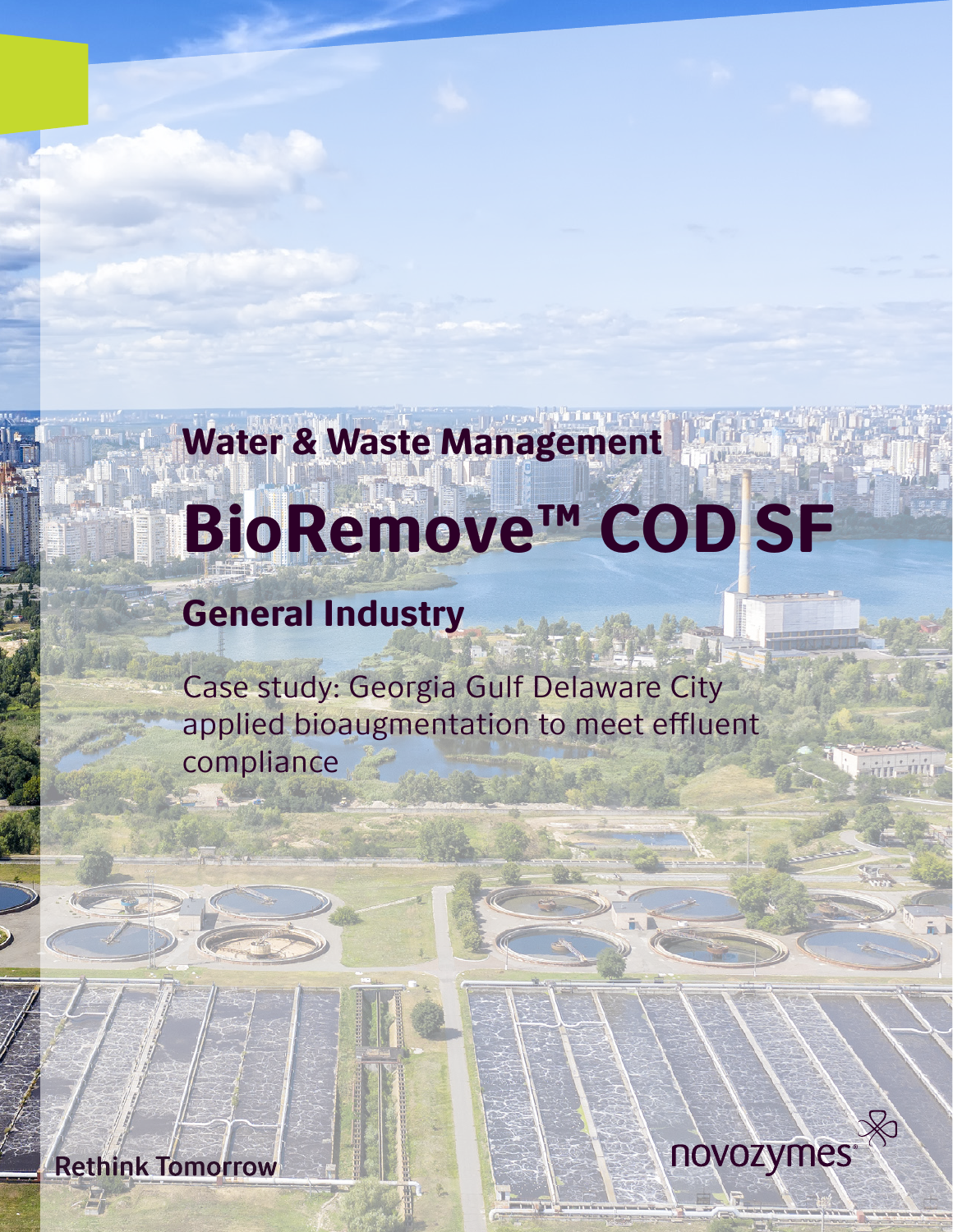# Water & Waste Management BioRemove™ COD SF

## General Industry

Case study: Georgia Gulf Delaware City applied bioaugmentation to meet effluent compliance



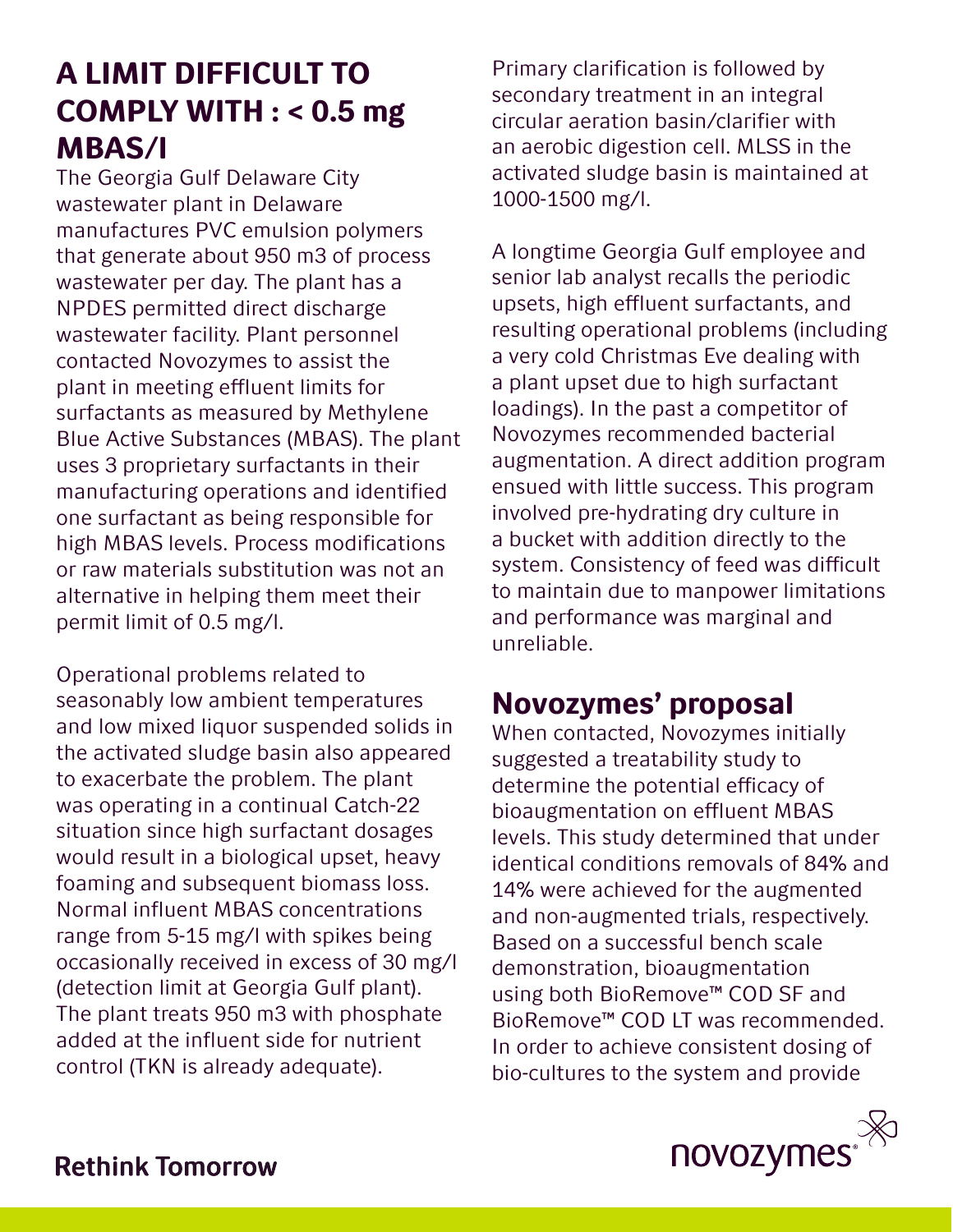## A LIMIT DIFFICULT TO COMPLY WITH : < 0.5 mg MBAS/l

The Georgia Gulf Delaware City wastewater plant in Delaware manufactures PVC emulsion polymers that generate about 950 m3 of process wastewater per day. The plant has a NPDES permitted direct discharge wastewater facility. Plant personnel contacted Novozymes to assist the plant in meeting effluent limits for surfactants as measured by Methylene Blue Active Substances (MBAS). The plant uses 3 proprietary surfactants in their manufacturing operations and identified one surfactant as being responsible for high MBAS levels. Process modifications or raw materials substitution was not an alternative in helping them meet their permit limit of 0.5 mg/l.

Operational problems related to seasonably low ambient temperatures and low mixed liquor suspended solids in the activated sludge basin also appeared to exacerbate the problem. The plant was operating in a continual Catch-22 situation since high surfactant dosages would result in a biological upset, heavy foaming and subsequent biomass loss. Normal influent MBAS concentrations range from 5-15 mg/l with spikes being occasionally received in excess of 30 mg/l (detection limit at Georgia Gulf plant). The plant treats 950 m3 with phosphate added at the influent side for nutrient control (TKN is already adequate).

Primary clarification is followed by secondary treatment in an integral circular aeration basin/clarifier with an aerobic digestion cell. MLSS in the activated sludge basin is maintained at 1000-1500 mg/l.

A longtime Georgia Gulf employee and senior lab analyst recalls the periodic upsets, high effluent surfactants, and resulting operational problems (including a very cold Christmas Eve dealing with a plant upset due to high surfactant loadings). In the past a competitor of Novozymes recommended bacterial augmentation. A direct addition program ensued with little success. This program involved pre-hydrating dry culture in a bucket with addition directly to the system. Consistency of feed was difficult to maintain due to manpower limitations and performance was marginal and unreliable.

## Novozymes' proposal

When contacted, Novozymes initially suggested a treatability study to determine the potential efficacy of bioaugmentation on effluent MBAS levels. This study determined that under identical conditions removals of 84% and 14% were achieved for the augmented and non-augmented trials, respectively. Based on a successful bench scale demonstration, bioaugmentation using both BioRemove™ COD SF and BioRemove™ COD LT was recommended. In order to achieve consistent dosing of bio-cultures to the system and provide

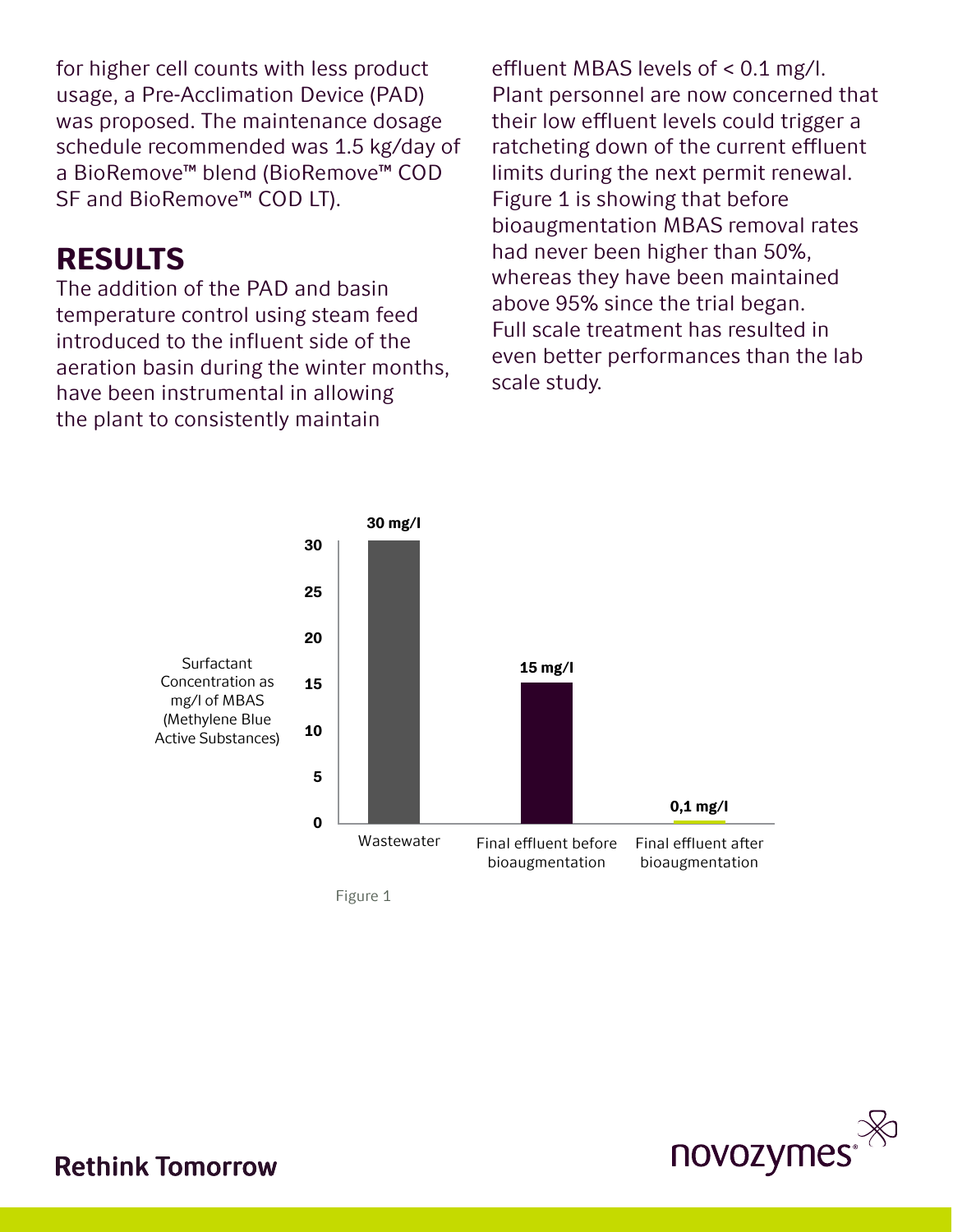for higher cell counts with less product usage, a Pre-Acclimation Device (PAD) was proposed. The maintenance dosage schedule recommended was 1.5 kg/day of a BioRemove™ blend (BioRemove™ COD SF and BioRemove™ COD LT).

### RESULTS

The addition of the PAD and basin temperature control using steam feed introduced to the influent side of the aeration basin during the winter months, have been instrumental in allowing the plant to consistently maintain

effluent MBAS levels of < 0.1 mg/l. Plant personnel are now concerned that their low effluent levels could trigger a ratcheting down of the current effluent limits during the next permit renewal. Figure 1 is showing that before bioaugmentation MBAS removal rates had never been higher than 50%, whereas they have been maintained above 95% since the trial began. Full scale treatment has resulted in even better performances than the lab scale study.



Figure 1